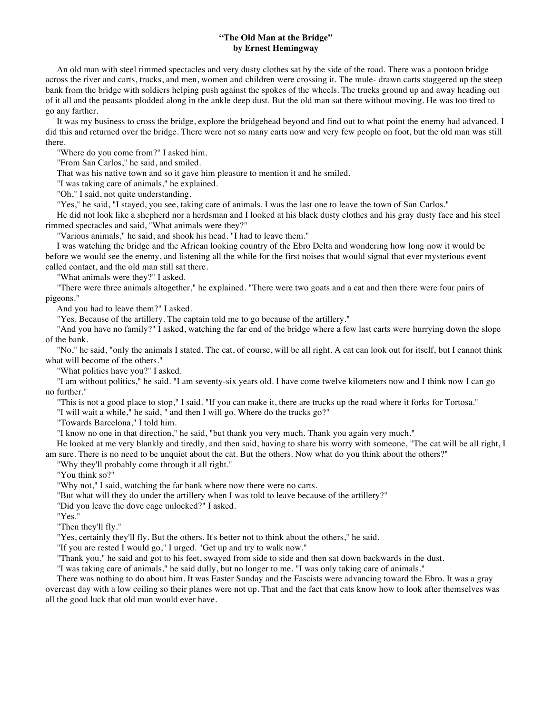## **"The Old Man at the Bridge" by Ernest Hemingway**

 An old man with steel rimmed spectacles and very dusty clothes sat by the side of the road. There was a pontoon bridge across the river and carts, trucks, and men, women and children were crossing it. The mule- drawn carts staggered up the steep bank from the bridge with soldiers helping push against the spokes of the wheels. The trucks ground up and away heading out of it all and the peasants plodded along in the ankle deep dust. But the old man sat there without moving. He was too tired to go any farther.

 It was my business to cross the bridge, explore the bridgehead beyond and find out to what point the enemy had advanced. I did this and returned over the bridge. There were not so many carts now and very few people on foot, but the old man was still there.

"Where do you come from?" I asked him.

"From San Carlos," he said, and smiled.

That was his native town and so it gave him pleasure to mention it and he smiled.

"I was taking care of animals," he explained.

"Oh," I said, not quite understanding.

"Yes," he said, "I stayed, you see, taking care of animals. I was the last one to leave the town of San Carlos."

 He did not look like a shepherd nor a herdsman and I looked at his black dusty clothes and his gray dusty face and his steel rimmed spectacles and said, "What animals were they?"

"Various animals," he said, and shook his head. "I had to leave them."

 I was watching the bridge and the African looking country of the Ebro Delta and wondering how long now it would be before we would see the enemy, and listening all the while for the first noises that would signal that ever mysterious event called contact, and the old man still sat there.

"What animals were they?" I asked.

 "There were three animals altogether," he explained. "There were two goats and a cat and then there were four pairs of pigeons."

And you had to leave them?" I asked.

"Yes. Because of the artillery. The captain told me to go because of the artillery."

 "And you have no family?" I asked, watching the far end of the bridge where a few last carts were hurrying down the slope of the bank.

 "No," he said, "only the animals I stated. The cat, of course, will be all right. A cat can look out for itself, but I cannot think what will become of the others."

"What politics have you?" I asked.

 "I am without politics," he said. "I am seventy-six years old. I have come twelve kilometers now and I think now I can go no further."

"This is not a good place to stop," I said. "If you can make it, there are trucks up the road where it forks for Tortosa."

"I will wait a while," he said, " and then I will go. Where do the trucks go?"

"Towards Barcelona," I told him.

"I know no one in that direction," he said, "but thank you very much. Thank you again very much."

 He looked at me very blankly and tiredly, and then said, having to share his worry with someone, "The cat will be all right, I am sure. There is no need to be unquiet about the cat. But the others. Now what do you think about the others?"

"Why they'll probably come through it all right."

"You think so?"

"Why not," I said, watching the far bank where now there were no carts.

"But what will they do under the artillery when I was told to leave because of the artillery?"

"Did you leave the dove cage unlocked?" I asked.

"Yes."

"Then they'll fly."

"Yes, certainly they'll fly. But the others. It's better not to think about the others," he said.

"If you are rested I would go," I urged. "Get up and try to walk now."

"Thank you," he said and got to his feet, swayed from side to side and then sat down backwards in the dust.

"I was taking care of animals," he said dully, but no longer to me. "I was only taking care of animals."

 There was nothing to do about him. It was Easter Sunday and the Fascists were advancing toward the Ebro. It was a gray overcast day with a low ceiling so their planes were not up. That and the fact that cats know how to look after themselves was all the good luck that old man would ever have.